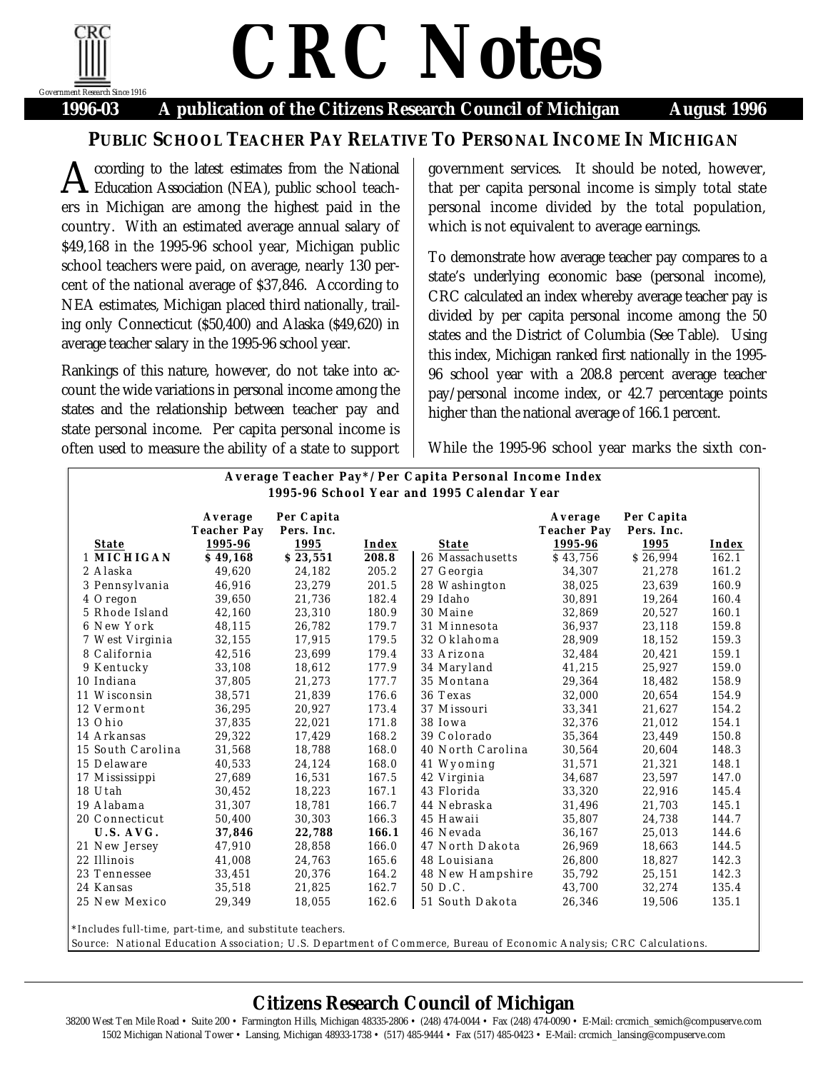

## *CRC Notes*

**1996-03 A publication of the Citizens Research Council of Michigan August 1996**

## **PUBLIC SCHOOL TEACHER PAY RELATIVE TO PERSONAL INCOME IN MICHIGAN**

ccording to the latest estimates from the National **A** ccording to the latest estimates from the National Education Association (NEA), public school teachers in Michigan are among the highest paid in the country. With an estimated average annual salary of \$49,168 in the 1995-96 school year, Michigan public school teachers were paid, on average, nearly 130 percent of the national average of \$37,846. According to NEA estimates, Michigan placed third nationally, trailing only Connecticut (\$50,400) and Alaska (\$49,620) in average teacher salary in the 1995-96 school year.

Rankings of this nature, however, do not take into account the wide variations in personal income among the states and the relationship between teacher pay and state personal income. Per capita personal income is often used to measure the ability of a state to support

government services. It should be noted, however, that per capita personal income is simply total state personal income divided by the total population, which is not equivalent to average earnings.

To demonstrate how average teacher pay compares to a state's underlying economic base (personal income), CRC calculated an index whereby average teacher pay is divided by per capita personal income among the 50 states and the District of Columbia (See Table). Using this index, Michigan ranked first nationally in the 1995- 96 school year with a 208.8 percent average teacher pay/personal income index, or 42.7 percentage points higher than the national average of 166.1 percent.

While the 1995-96 school year marks the sixth con-

|                   | Average<br><b>Teacher Pay</b> | Per Capita<br>Pers. Inc. |       |                   | Average<br><b>Teacher Pay</b> | Per Capita<br>Pers. Inc. |       |
|-------------------|-------------------------------|--------------------------|-------|-------------------|-------------------------------|--------------------------|-------|
| <b>State</b>      | 1995-96                       | 1995                     | Index | <b>State</b>      | 1995-96                       | 1995                     | Index |
| 1 MICHIGAN        | \$49,168                      | \$23,551                 | 208.8 | 26 Massachusetts  | \$43,756                      | \$26,994                 | 162.1 |
| 2 Alaska          | 49,620                        | 24,182                   | 205.2 | 27 Georgia        | 34,307                        | 21,278                   | 161.2 |
| 3 Pennsylvania    | 46,916                        | 23,279                   | 201.5 | 28 Washington     | 38,025                        | 23,639                   | 160.9 |
| 4 Oregon          | 39,650                        | 21,736                   | 182.4 | 29 Idaho          | 30,891                        | 19,264                   | 160.4 |
| 5 Rhode Island    | 42,160                        | 23,310                   | 180.9 | 30 Maine          | 32,869                        | 20,527                   | 160.1 |
| 6 New York        | 48,115                        | 26,782                   | 179.7 | 31 Minnesota      | 36,937                        | 23,118                   | 159.8 |
| 7 West Virginia   | 32,155                        | 17.915                   | 179.5 | 32 Oklahoma       | 28,909                        | 18,152                   | 159.3 |
| 8 California      | 42,516                        | 23,699                   | 179.4 | 33 Arizona        | 32,484                        | 20,421                   | 159.1 |
| 9 Kentucky        | 33,108                        | 18,612                   | 177.9 | 34 Maryland       | 41,215                        | 25,927                   | 159.0 |
| 10 Indiana        | 37,805                        | 21,273                   | 177.7 | 35 Montana        | 29,364                        | 18,482                   | 158.9 |
| 11 Wisconsin      | 38,571                        | 21,839                   | 176.6 | 36 Texas          | 32,000                        | 20,654                   | 154.9 |
| 12 Vermont        | 36,295                        | 20,927                   | 173.4 | 37 Missouri       | 33,341                        | 21,627                   | 154.2 |
| 13 Ohio           | 37,835                        | 22,021                   | 171.8 | 38 Iowa           | 32,376                        | 21,012                   | 154.1 |
| 14 Arkansas       | 29,322                        | 17,429                   | 168.2 | 39 Colorado       | 35,364                        | 23,449                   | 150.8 |
| 15 South Carolina | 31,568                        | 18,788                   | 168.0 | 40 North Carolina | 30,564                        | 20,604                   | 148.3 |
| 15 Delaware       | 40,533                        | 24,124                   | 168.0 | 41 Wyoming        | 31,571                        | 21,321                   | 148.1 |
| 17 Mississippi    | 27,689                        | 16,531                   | 167.5 | 42 Virginia       | 34,687                        | 23,597                   | 147.0 |
| 18 Utah           | 30,452                        | 18,223                   | 167.1 | 43 Florida        | 33,320                        | 22,916                   | 145.4 |
| 19 Alabama        | 31,307                        | 18,781                   | 166.7 | 44 Nebraska       | 31,496                        | 21,703                   | 145.1 |
| 20 Connecticut    | 50,400                        | 30,303                   | 166.3 | 45 Hawaii         | 35,807                        | 24,738                   | 144.7 |
| U.S. AVG.         | 37,846                        | 22,788                   | 166.1 | 46 Nevada         | 36,167                        | 25,013                   | 144.6 |
| 21 New Jersey     | 47,910                        | 28,858                   | 166.0 | 47 North Dakota   | 26,969                        | 18,663                   | 144.5 |
| 22 Illinois       | 41,008                        | 24,763                   | 165.6 | 48 Louisiana      | 26,800                        | 18,827                   | 142.3 |
| 23 Tennessee      | 33,451                        | 20,376                   | 164.2 | 48 New Hampshire  | 35,792                        | 25,151                   | 142.3 |
| 24 Kansas         | 35,518                        | 21,825                   | 162.7 | 50 D.C.           | 43,700                        | 32,274                   | 135.4 |
| 25 New Mexico     | 29,349                        | 18,055                   | 162.6 | 51 South Dakota   | 26,346                        | 19,506                   | 135.1 |

## **Citizens Research Council of Michigan**

38200 West Ten Mile Road • Suite 200 • Farmington Hills, Michigan 48335-2806 • (248) 474-0044 • Fax (248) 474-0090 • E-Mail: crcmich\_semich@compuserve.com 1502 Michigan National Tower • Lansing, Michigan 48933-1738 • (517) 485-9444 • Fax (517) 485-0423 • E-Mail: crcmich\_lansing@compuserve.com